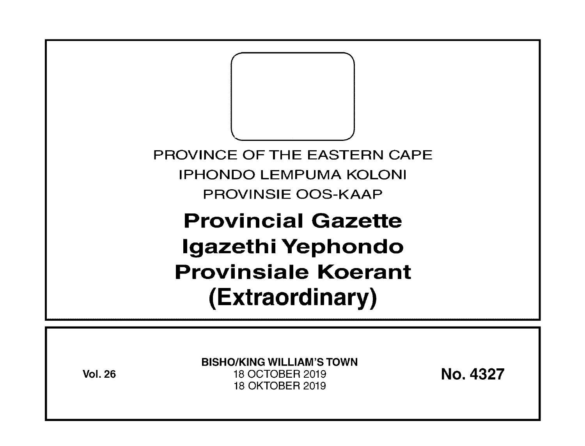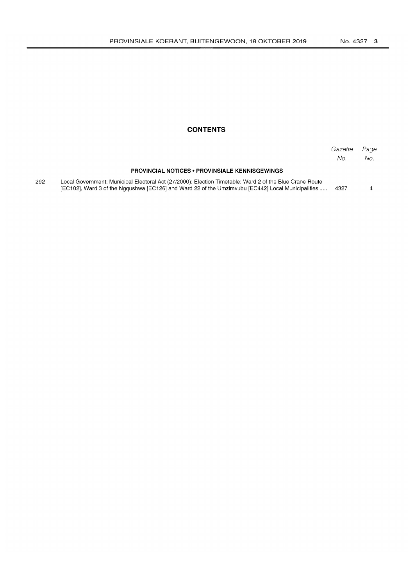## **CONTENTS**

|     |                                                                                                                                                                                                              | Gazette<br>No. | Page<br>No. |
|-----|--------------------------------------------------------------------------------------------------------------------------------------------------------------------------------------------------------------|----------------|-------------|
|     | <b>PROVINCIAL NOTICES • PROVINSIALE KENNISGEWINGS</b>                                                                                                                                                        |                |             |
| 292 | Local Government: Municipal Electoral Act (27/2000): Election Timetable: Ward 2 of the Blue Crane Route<br>[EC102], Ward 3 of the Nggushwa [EC126] and Ward 22 of the Umzimvubu [EC442] Local Municipalities | 4327           |             |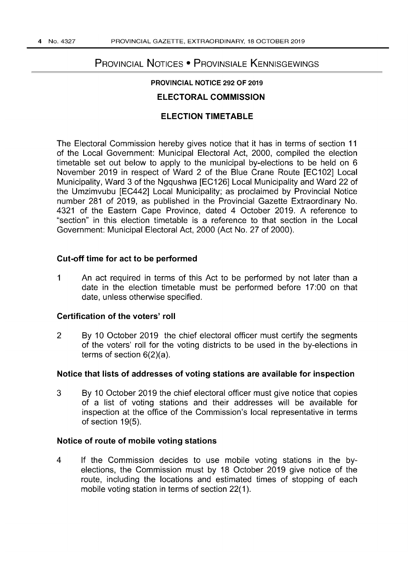# PROVINCIAL NOTICES • PROVINSIALE KENNISGEWINGS

## PROVINCIAL NOTICE 292 OF 2019

## ELECTORAL COMMISSION

## ELECTION TIMETABLE

The Electoral Commission hereby gives notice that it has in terms of section 11 of the Local Government: Municipal Electoral Act, 2000, compiled the election timetable set out below to apply to the municipal by-elections to be held on 6 November 2019 in respect of Ward 2 of the Blue Crane Route [EC102] Local Municipality, Ward 3 of the Ngqushwa [EC126] Local Municipality and Ward 22 of the Umzimvubu [EC442] Local Municipality; as proclaimed by Provincial Notice number 281 of 2019, as published in the Provincial Gazette Extraordinary No. 4321 of the Eastern Cape Province, dated 4 October 2019. A reference to "section" in this election timetable is a reference to that section in the Local Government: Municipal Electoral Act, 2000 (Act No. 27 of 2000).

### Cut-off time for act to be performed

1 An act required in terms of this Act to be performed by not later than a date in the election timetable must be performed before 17:00 on that date, unless otherwise specified.

#### Certification of the voters' roll

2 By 10 October 2019 the chief electoral officer must certify the segments of the voters' roll for the voting districts to be used in the by-elections in terms of section 6(2)(a).

#### Notice that lists of addresses of voting stations are available for inspection

3 By 10 October 2019 the chief electoral officer must give notice that copies of a list of voting stations and their addresses will be available for inspection at the office of the Commission's local representative in terms of section 19(5).

#### Notice of route of mobile voting stations

4 If the Commission decides to use mobile voting stations in the byelections, the Commission must by 18 October 2019 give notice of the route, including the locations and estimated times of stopping of each mobile voting station in terms of section 22(1).